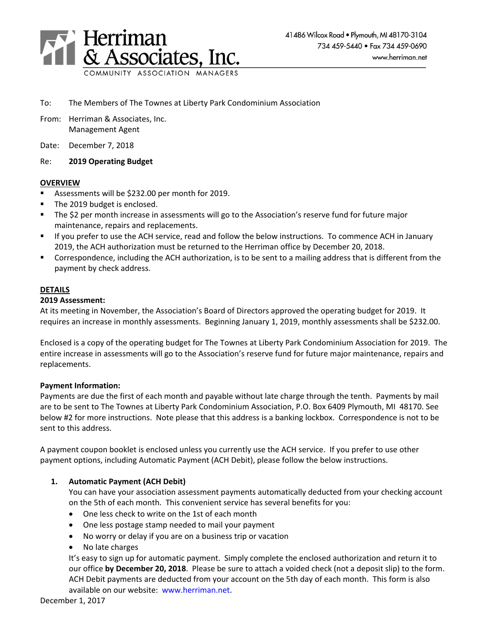

- To: The Members of The Townes at Liberty Park Condominium Association
- From: Herriman & Associates, Inc. Management Agent
- Date: December 7, 2018

### Re: **2019 Operating Budget**

### **OVERVIEW**

- Assessments will be \$232.00 per month for 2019.
- The 2019 budget is enclosed.
- The \$2 per month increase in assessments will go to the Association's reserve fund for future major maintenance, repairs and replacements.
- If you prefer to use the ACH service, read and follow the below instructions. To commence ACH in January 2019, the ACH authorization must be returned to the Herriman office by December 20, 2018.
- Correspondence, including the ACH authorization, is to be sent to a mailing address that is different from the payment by check address.

# **DETAILS**

#### **2019 Assessment:**

At its meeting in November, the Association's Board of Directors approved the operating budget for 2019. It requires an increase in monthly assessments. Beginning January 1, 2019, monthly assessments shall be \$232.00.

Enclosed is a copy of the operating budget for The Townes at Liberty Park Condominium Association for 2019. The entire increase in assessments will go to the Association's reserve fund for future major maintenance, repairs and replacements.

### **Payment Information:**

Payments are due the first of each month and payable without late charge through the tenth. Payments by mail are to be sent to The Townes at Liberty Park Condominium Association, P.O. Box 6409 Plymouth, MI 48170. See below #2 for more instructions. Note please that this address is a banking lockbox. Correspondence is not to be sent to this address.

A payment coupon booklet is enclosed unless you currently use the ACH service. If you prefer to use other payment options, including Automatic Payment (ACH Debit), please follow the below instructions.

### **1. Automatic Payment (ACH Debit)**

You can have your association assessment payments automatically deducted from your checking account on the 5th of each month. This convenient service has several benefits for you:

- One less check to write on the 1st of each month
- One less postage stamp needed to mail your payment
- No worry or delay if you are on a business trip or vacation
- No late charges

It's easy to sign up for automatic payment. Simply complete the enclosed authorization and return it to our office **by December 20, 2018**. Please be sure to attach a voided check (not a deposit slip) to the form. ACH Debit payments are deducted from your account on the 5th day of each month. This form is also available on our website: [www.herriman.net.](http://www.herriman.net/)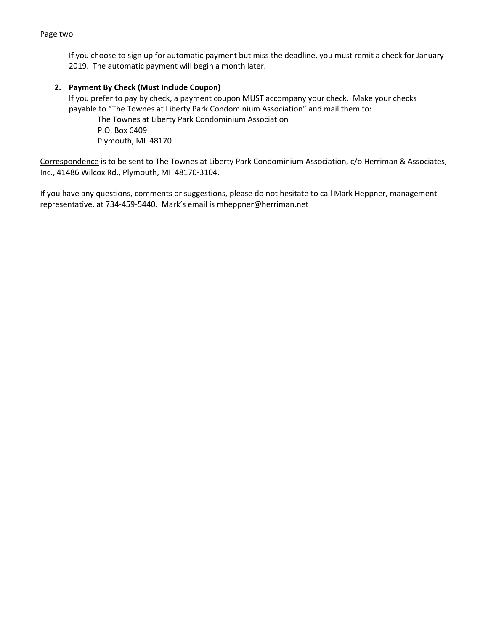#### Page two

If you choose to sign up for automatic payment but miss the deadline, you must remit a check for January 2019. The automatic payment will begin a month later.

## **2. Payment By Check (Must Include Coupon)**

If you prefer to pay by check, a payment coupon MUST accompany your check. Make your checks payable to "The Townes at Liberty Park Condominium Association" and mail them to:

The Townes at Liberty Park Condominium Association P.O. Box 6409 Plymouth, MI 48170

Correspondence is to be sent to The Townes at Liberty Park Condominium Association, c/o Herriman & Associates, Inc., 41486 Wilcox Rd., Plymouth, MI 48170-3104.

If you have any questions, comments or suggestions, please do not hesitate to call Mark Heppner, management representative, at 734-459-5440. Mark's email is mheppner@herriman.net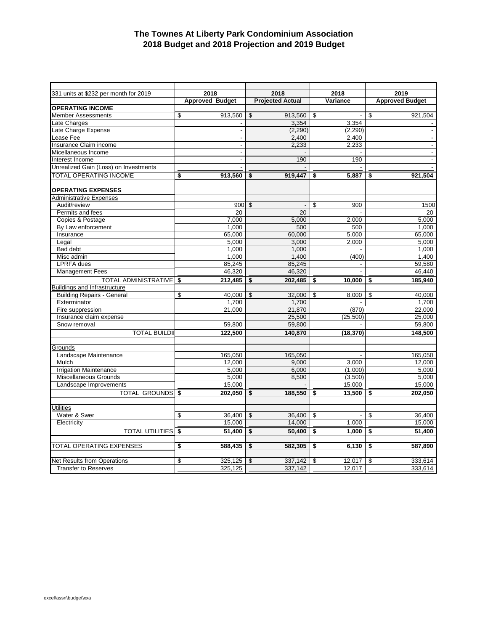## **The Townes At Liberty Park Condominium Association 2018 Budget and 2018 Projection and 2019 Budget**

| 331 units at \$232 per month for 2019 | 2018                   | 2018                    | 2018                            | 2019                   |  |
|---------------------------------------|------------------------|-------------------------|---------------------------------|------------------------|--|
|                                       | <b>Approved Budget</b> | <b>Projected Actual</b> | Variance                        | <b>Approved Budget</b> |  |
| <b>OPERATING INCOME</b>               |                        |                         |                                 |                        |  |
| <b>Member Assessments</b>             | \$<br>913,560          | \$<br>913,560           | \$<br>$\mathbb{Z}^{\mathbb{Z}}$ | \$<br>921,504          |  |
| Late Charges                          |                        | 3,354                   | 3,354                           |                        |  |
| Late Charge Expense                   |                        | (2, 290)                | (2, 290)                        | $\blacksquare$         |  |
| Lease Fee                             | $\overline{a}$         | 2,400                   | 2,400                           | $\mathbf{r}$           |  |
| Insurance Claim income                |                        | 2.233                   | 2.233                           | $\blacksquare$         |  |
| Micellaneous Income                   |                        |                         |                                 | $\blacksquare$         |  |
| Interest Income                       |                        | 190                     | 190                             | $\blacksquare$         |  |
| Unrealized Gain (Loss) on Investments |                        |                         |                                 |                        |  |
| <b>TOTAL OPERATING INCOME</b>         | \$<br>913.560          | 919.447<br>\$           | 5.887<br>\$                     | 921,504<br>\$          |  |
|                                       |                        |                         |                                 |                        |  |
| <b>OPERATING EXPENSES</b>             |                        |                         |                                 |                        |  |
| Administrative Expenses               |                        |                         |                                 |                        |  |
| Audit/review                          | 900                    | \$                      | 900<br>\$                       | 1500                   |  |
| Permits and fees                      | 20                     | 20                      |                                 | 20                     |  |
| Copies & Postage                      | 7,000                  | 5,000                   | 2,000                           | 5,000                  |  |
| By Law enforcement                    | 1.000                  | 500                     | 500                             | 1.000                  |  |
| Insurance                             | 65,000                 | 60,000                  | 5,000                           | 65,000                 |  |
| Legal                                 | 5.000                  | 3.000                   | 2.000                           | 5.000                  |  |
| <b>Bad debt</b>                       | 1,000                  | 1,000                   |                                 | 1.000                  |  |
| Misc admin                            | 1,000                  | 1,400                   | (400)                           | 1,400                  |  |
| <b>LPRFA</b> dues                     | 85,245                 | 85,245                  |                                 | 59,580                 |  |
| <b>Management Fees</b>                | 46,320                 | 46,320                  |                                 | 46,440                 |  |
| <b>TOTAL ADMINISTRATIVE \$</b>        | 212,485                | 202,485<br>\$           | 10,000<br>\$                    | 185,940<br>\$          |  |
| Buildings and Infrastructure          |                        |                         |                                 |                        |  |
| <b>Building Repairs - General</b>     | \$<br>40,000           | 32,000<br>\$            | \$<br>8,000                     | 40,000<br>\$           |  |
| Exterminator                          | 1.700                  | 1.700                   |                                 | 1.700                  |  |
| Fire suppression                      | 21,000                 | 21,870                  | (870)                           | 22,000                 |  |
| Insurance claim expense               |                        | 25,500                  | (25, 500)                       | 25,000                 |  |
| Snow removal                          | 59,800                 | 59,800                  |                                 | 59,800                 |  |
|                                       |                        |                         |                                 |                        |  |
| <b>TOTAL BUILDII</b>                  | 122,500                | 140.870                 | (18, 370)                       | 148,500                |  |
|                                       |                        |                         |                                 |                        |  |
| Grounds                               |                        |                         |                                 |                        |  |
| Landscape Maintenance<br>Mulch        | 165,050                | 165,050                 | 3.000                           | 165,050                |  |
|                                       | 12,000                 | 9,000                   |                                 | 12,000                 |  |
| <b>Irrigation Maintenance</b>         | 5,000                  | 6,000                   | (1,000)                         | 5,000                  |  |
| Miscellaneous Grounds                 | 5,000                  | 8,500                   | (3,500)                         | 5,000                  |  |
| Landscape Improvements                | 15,000                 |                         | 15,000                          | 15,000                 |  |
| TOTAL GROUNDS \$                      | 202,050                | \$<br>188,550           | 13,500<br>\$                    | 202,050<br>\$          |  |
|                                       |                        |                         |                                 |                        |  |
| Utilities                             |                        |                         |                                 |                        |  |
| Water & Swer                          | 36,400<br>\$           | 36,400<br>\$            | \$<br>$\mathbf{r}$              | 36,400<br>\$           |  |
| Electricity                           | 15,000                 | 14,000                  | 1,000                           | 15,000                 |  |
| <b>TOTAL UTILITIES</b>                | \$<br>51,400           | \$<br>50,400            | 1,000<br>\$                     | \$<br>51,400           |  |
|                                       |                        |                         |                                 |                        |  |
| TOTAL OPERATING EXPENSES              | \$<br>588,435          | 582,305<br>\$           | 6,130<br>\$                     | \$<br>587,890          |  |
|                                       |                        |                         |                                 |                        |  |
| <b>Net Results from Operations</b>    | \$<br>325,125          | 337.142<br>\$           | 12.017<br>\$                    | \$<br>333.614          |  |
| <b>Transfer to Reserves</b>           | 325,125                | 337.142                 | 12.017                          | 333,614                |  |